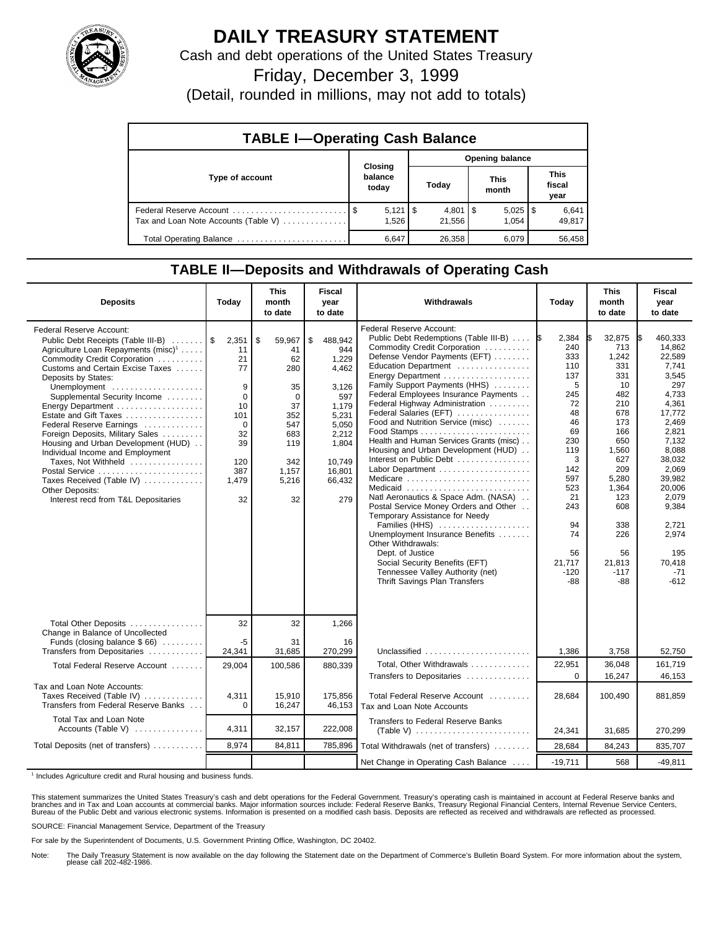

## **DAILY TREASURY STATEMENT**

Cash and debt operations of the United States Treasury

Friday, December 3, 1999

(Detail, rounded in millions, may not add to totals)

| <b>TABLE I-Operating Cash Balance</b> |                                |                              |                       |                               |  |  |  |  |
|---------------------------------------|--------------------------------|------------------------------|-----------------------|-------------------------------|--|--|--|--|
|                                       |                                | <b>Opening balance</b>       |                       |                               |  |  |  |  |
| Type of account                       | Closing<br>balance<br>today    | Today                        | <b>This</b><br>month  | <b>This</b><br>fiscal<br>year |  |  |  |  |
| Tax and Loan Note Accounts (Table V)  | $5,121$ $\frac{1}{9}$<br>1.526 | $4,801$ $\sqrt{5}$<br>21.556 | $5,025$   \$<br>1.054 | 6,641<br>49,817               |  |  |  |  |
| Total Operating Balance               | 6,647                          | 26,358                       | 6.079                 | 56,458                        |  |  |  |  |

## **TABLE II—Deposits and Withdrawals of Operating Cash**

| <b>Deposits</b>                                                                                                                                                                                                                                                                                                                                                                                                                                                                                                                                                                              | Today                                                                                               | <b>This</b><br>month<br>to date                                                                                       | <b>Fiscal</b><br>year<br>to date                                                                                                         | Withdrawals                                                                                                                                                                                                                                                                                                                                                                                                                                                                                                                                                                                                                                                                                                                                                                                                                                     | Today                                                                                                                                                                   | <b>This</b><br>month<br>to date                                                                                                                                                            | <b>Fiscal</b><br>year<br>to date                                                                                                                                                                                                           |
|----------------------------------------------------------------------------------------------------------------------------------------------------------------------------------------------------------------------------------------------------------------------------------------------------------------------------------------------------------------------------------------------------------------------------------------------------------------------------------------------------------------------------------------------------------------------------------------------|-----------------------------------------------------------------------------------------------------|-----------------------------------------------------------------------------------------------------------------------|------------------------------------------------------------------------------------------------------------------------------------------|-------------------------------------------------------------------------------------------------------------------------------------------------------------------------------------------------------------------------------------------------------------------------------------------------------------------------------------------------------------------------------------------------------------------------------------------------------------------------------------------------------------------------------------------------------------------------------------------------------------------------------------------------------------------------------------------------------------------------------------------------------------------------------------------------------------------------------------------------|-------------------------------------------------------------------------------------------------------------------------------------------------------------------------|--------------------------------------------------------------------------------------------------------------------------------------------------------------------------------------------|--------------------------------------------------------------------------------------------------------------------------------------------------------------------------------------------------------------------------------------------|
| <b>Federal Reserve Account:</b><br>Public Debt Receipts (Table III-B)<br>Agriculture Loan Repayments (misc) <sup>1</sup><br>Commodity Credit Corporation<br>Customs and Certain Excise Taxes<br>Deposits by States:<br>Unemployment<br>Supplemental Security Income<br>Energy Department<br>Estate and Gift Taxes<br>Federal Reserve Earnings<br>Foreign Deposits, Military Sales<br>Housing and Urban Development (HUD)<br>Individual Income and Employment<br>Taxes, Not Withheld<br>Postal Service<br>Taxes Received (Table IV)<br>Other Deposits:<br>Interest recd from T&L Depositaries | 2,351<br>11<br>21<br>77<br>9<br>0<br>10<br>101<br>$\Omega$<br>32<br>39<br>120<br>387<br>1,479<br>32 | \$<br>59,967<br>41<br>62<br>280<br>35<br>$\mathbf 0$<br>37<br>352<br>547<br>683<br>119<br>342<br>1.157<br>5,216<br>32 | \$<br>488,942<br>944<br>1.229<br>4,462<br>3,126<br>597<br>1,179<br>5,231<br>5,050<br>2,212<br>1,804<br>10.749<br>16.801<br>66,432<br>279 | Federal Reserve Account:<br>Public Debt Redemptions (Table III-B)  \$<br>Commodity Credit Corporation<br>Defense Vendor Payments (EFT)<br>Education Department<br>Energy Department<br>Family Support Payments (HHS)<br>Federal Employees Insurance Payments<br>Federal Highway Administration<br>Federal Salaries (EFT)<br>Food and Nutrition Service (misc)<br>Health and Human Services Grants (misc)<br>Housing and Urban Development (HUD)<br>Interest on Public Debt<br>Labor Department<br>Medicare<br>Medicaid<br>Natl Aeronautics & Space Adm. (NASA)<br>Postal Service Money Orders and Other<br>Temporary Assistance for Needy<br>Families (HHS)<br>Unemployment Insurance Benefits<br>Other Withdrawals:<br>Dept. of Justice<br>Social Security Benefits (EFT)<br>Tennessee Valley Authority (net)<br>Thrift Savings Plan Transfers | 2,384<br>240<br>333<br>110<br>137<br>5<br>245<br>72<br>48<br>46<br>69<br>230<br>119<br>3<br>142<br>597<br>523<br>21<br>243<br>94<br>74<br>56<br>21,717<br>$-120$<br>-88 | 32,875<br>713<br>1,242<br>331<br>331<br>10<br>482<br>210<br>678<br>173<br>166<br>650<br>1,560<br>627<br>209<br>5,280<br>1,364<br>123<br>608<br>338<br>226<br>56<br>21,813<br>$-117$<br>-88 | 460.333<br>I\$<br>14,862<br>22,589<br>7.741<br>3,545<br>297<br>4,733<br>4,361<br>17.772<br>2.469<br>2,821<br>7,132<br>8,088<br>38,032<br>2,069<br>39,982<br>20,006<br>2,079<br>9,384<br>2.721<br>2,974<br>195<br>70.418<br>$-71$<br>$-612$ |
| Total Other Deposits<br>Change in Balance of Uncollected                                                                                                                                                                                                                                                                                                                                                                                                                                                                                                                                     | 32                                                                                                  | 32                                                                                                                    | 1,266                                                                                                                                    |                                                                                                                                                                                                                                                                                                                                                                                                                                                                                                                                                                                                                                                                                                                                                                                                                                                 |                                                                                                                                                                         |                                                                                                                                                                                            |                                                                                                                                                                                                                                            |
| Funds (closing balance \$66)<br>Transfers from Depositaries                                                                                                                                                                                                                                                                                                                                                                                                                                                                                                                                  | -5<br>24,341                                                                                        | 31<br>31,685                                                                                                          | 16<br>270,299                                                                                                                            | Unclassified $\ldots \ldots \ldots \ldots \ldots \ldots$                                                                                                                                                                                                                                                                                                                                                                                                                                                                                                                                                                                                                                                                                                                                                                                        | 1,386                                                                                                                                                                   | 3,758                                                                                                                                                                                      | 52,750                                                                                                                                                                                                                                     |
| Total Federal Reserve Account                                                                                                                                                                                                                                                                                                                                                                                                                                                                                                                                                                | 29,004                                                                                              | 100,586                                                                                                               | 880,339                                                                                                                                  | Total, Other Withdrawals<br>Transfers to Depositaries                                                                                                                                                                                                                                                                                                                                                                                                                                                                                                                                                                                                                                                                                                                                                                                           | 22,951<br>$\Omega$                                                                                                                                                      | 36.048<br>16,247                                                                                                                                                                           | 161.719<br>46,153                                                                                                                                                                                                                          |
| Tax and Loan Note Accounts:<br>Taxes Received (Table IV)<br>Transfers from Federal Reserve Banks                                                                                                                                                                                                                                                                                                                                                                                                                                                                                             | 4,311<br>$\Omega$                                                                                   | 15,910<br>16,247                                                                                                      | 175,856<br>46,153                                                                                                                        | Total Federal Reserve Account<br>Tax and Loan Note Accounts                                                                                                                                                                                                                                                                                                                                                                                                                                                                                                                                                                                                                                                                                                                                                                                     | 28,684                                                                                                                                                                  | 100,490                                                                                                                                                                                    | 881,859                                                                                                                                                                                                                                    |
| Total Tax and Loan Note<br>Accounts (Table V)                                                                                                                                                                                                                                                                                                                                                                                                                                                                                                                                                | 4,311                                                                                               | 32,157                                                                                                                | 222,008                                                                                                                                  | <b>Transfers to Federal Reserve Banks</b>                                                                                                                                                                                                                                                                                                                                                                                                                                                                                                                                                                                                                                                                                                                                                                                                       | 24,341                                                                                                                                                                  | 31,685                                                                                                                                                                                     | 270,299                                                                                                                                                                                                                                    |
| Total Deposits (net of transfers)                                                                                                                                                                                                                                                                                                                                                                                                                                                                                                                                                            | 8.974                                                                                               | 84,811                                                                                                                | 785,896                                                                                                                                  | Total Withdrawals (net of transfers)                                                                                                                                                                                                                                                                                                                                                                                                                                                                                                                                                                                                                                                                                                                                                                                                            | 28,684                                                                                                                                                                  | 84,243                                                                                                                                                                                     | 835,707                                                                                                                                                                                                                                    |
|                                                                                                                                                                                                                                                                                                                                                                                                                                                                                                                                                                                              |                                                                                                     |                                                                                                                       |                                                                                                                                          | Net Change in Operating Cash Balance                                                                                                                                                                                                                                                                                                                                                                                                                                                                                                                                                                                                                                                                                                                                                                                                            | $-19.711$                                                                                                                                                               | 568                                                                                                                                                                                        | $-49,811$                                                                                                                                                                                                                                  |

<sup>1</sup> Includes Agriculture credit and Rural housing and business funds.

This statement summarizes the United States Treasury's cash and debt operations for the Federal Government. Treasury's operating cash is maintained in account at Federal Reserve banks and<br>branches and in Tax and Loan accou

SOURCE: Financial Management Service, Department of the Treasury

For sale by the Superintendent of Documents, U.S. Government Printing Office, Washington, DC 20402.

Note: The Daily Treasury Statement is now available on the day following the Statement date on the Department of Commerce's Bulletin Board System. For more information about the system, please call 202-482-1986.